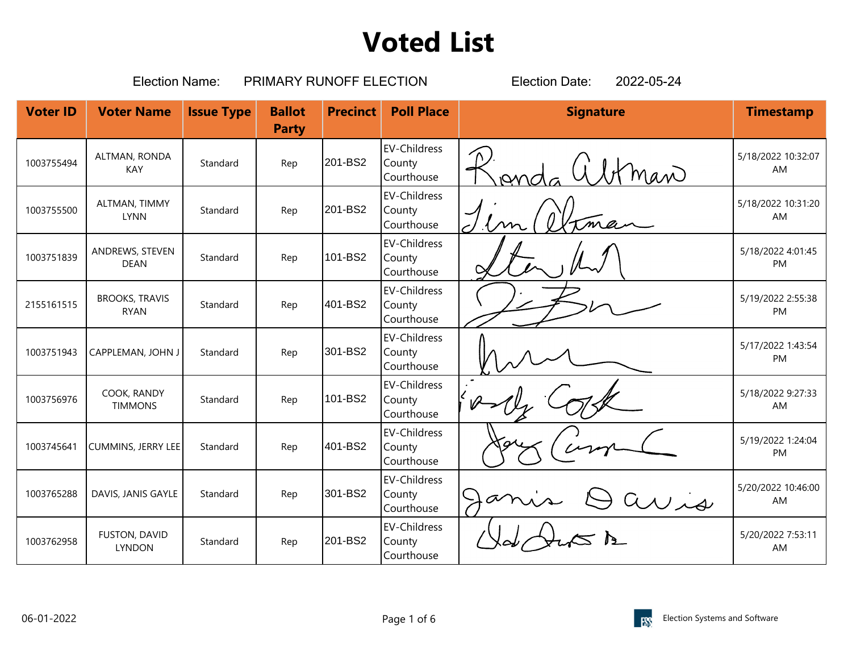|                 | <b>Election Name:</b>                |                   | PRIMARY RUNOFF ELECTION       | 2022-05-24<br><b>Election Date:</b> |                                             |                  |                          |
|-----------------|--------------------------------------|-------------------|-------------------------------|-------------------------------------|---------------------------------------------|------------------|--------------------------|
| <b>Voter ID</b> | <b>Voter Name</b>                    | <b>Issue Type</b> | <b>Ballot</b><br><b>Party</b> | <b>Precinct</b>                     | <b>Poll Place</b>                           | <b>Signature</b> | <b>Timestamp</b>         |
| 1003755494      | ALTMAN, RONDA<br>KAY                 | Standard          | Rep                           | 201-BS2                             | <b>EV-Childress</b><br>County<br>Courthouse | man              | 5/18/2022 10:32:07<br>AM |
| 1003755500      | ALTMAN, TIMMY<br><b>LYNN</b>         | Standard          | Rep                           | 201-BS2                             | <b>EV-Childress</b><br>County<br>Courthouse |                  | 5/18/2022 10:31:20<br>AM |
| 1003751839      | ANDREWS, STEVEN<br><b>DEAN</b>       | Standard          | Rep                           | 101-BS2                             | <b>EV-Childress</b><br>County<br>Courthouse |                  | 5/18/2022 4:01:45<br>PM  |
| 2155161515      | <b>BROOKS, TRAVIS</b><br><b>RYAN</b> | Standard          | Rep                           | 401-BS2                             | <b>EV-Childress</b><br>County<br>Courthouse |                  | 5/19/2022 2:55:38<br>PM  |
| 1003751943      | CAPPLEMAN, JOHN J                    | Standard          | Rep                           | 301-BS2                             | <b>EV-Childress</b><br>County<br>Courthouse |                  | 5/17/2022 1:43:54<br>PM  |
| 1003756976      | COOK, RANDY<br><b>TIMMONS</b>        | Standard          | Rep                           | 101-BS2                             | <b>EV-Childress</b><br>County<br>Courthouse |                  | 5/18/2022 9:27:33<br>AM  |
| 1003745641      | <b>CUMMINS, JERRY LEE</b>            | Standard          | Rep                           | 401-BS2                             | <b>EV-Childress</b><br>County<br>Courthouse |                  | 5/19/2022 1:24:04<br>PM  |
| 1003765288      | DAVIS, JANIS GAYLE                   | Standard          | Rep                           | 301-BS2                             | <b>EV-Childress</b><br>County<br>Courthouse |                  | 5/20/2022 10:46:00<br>AM |
| 1003762958      | FUSTON, DAVID<br><b>LYNDON</b>       | Standard          | Rep                           | 201-BS2                             | <b>EV-Childress</b><br>County<br>Courthouse |                  | 5/20/2022 7:53:11<br>AM  |

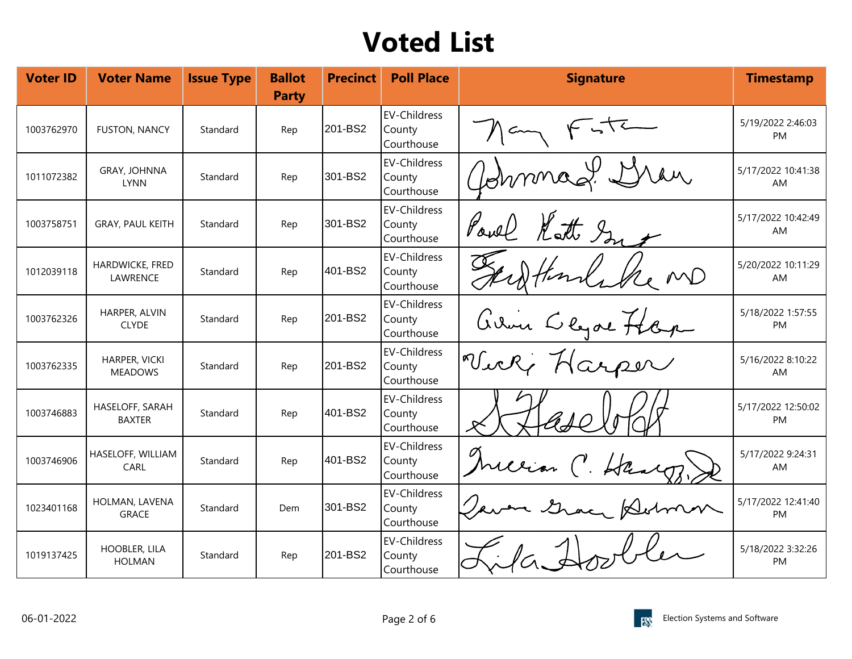| <b>Voter ID</b> | <b>Voter Name</b>                | <b>Issue Type</b> | <b>Ballot</b><br><b>Party</b> | <b>Precinct</b> | <b>Poll Place</b>                           | <b>Signature</b>                | <b>Timestamp</b>         |
|-----------------|----------------------------------|-------------------|-------------------------------|-----------------|---------------------------------------------|---------------------------------|--------------------------|
| 1003762970      | <b>FUSTON, NANCY</b>             | Standard          | Rep                           | 201-BS2         | <b>EV-Childress</b><br>County<br>Courthouse |                                 | 5/19/2022 2:46:03<br>PM  |
| 1011072382      | GRAY, JOHNNA<br><b>LYNN</b>      | Standard          | Rep                           | 301-BS2         | <b>EV-Childress</b><br>County<br>Courthouse | Annmac                          | 5/17/2022 10:41:38<br>AM |
| 1003758751      | GRAY, PAUL KEITH                 | Standard          | Rep                           | 301-BS2         | <b>EV-Childress</b><br>County<br>Courthouse | Poul Katt In                    | 5/17/2022 10:42:49<br>AM |
| 1012039118      | HARDWICKE, FRED<br>LAWRENCE      | Standard          | Rep                           | 401-BS2         | <b>EV-Childress</b><br>County<br>Courthouse |                                 | 5/20/2022 10:11:29<br>AM |
| 1003762326      | HARPER, ALVIN<br><b>CLYDE</b>    | Standard          | Rep                           | 201-BS2         | <b>EV-Childress</b><br>County<br>Courthouse | avoir Clyde Hope<br>Wier Harper | 5/18/2022 1:57:55<br>PM  |
| 1003762335      | HARPER, VICKI<br><b>MEADOWS</b>  | Standard          | Rep                           | 201-BS2         | <b>EV-Childress</b><br>County<br>Courthouse |                                 | 5/16/2022 8:10:22<br>AM  |
| 1003746883      | HASELOFF, SARAH<br><b>BAXTER</b> | Standard          | Rep                           | 401-BS2         | <b>EV-Childress</b><br>County<br>Courthouse |                                 | 5/17/2022 12:50:02<br>PM |
| 1003746906      | HASELOFF, WILLIAM<br>CARL        | Standard          | Rep                           | 401-BS2         | <b>EV-Childress</b><br>County<br>Courthouse | Harry                           | 5/17/2022 9:24:31<br>AM  |
| 1023401168      | HOLMAN, LAVENA<br><b>GRACE</b>   | Standard          | Dem                           | 301-BS2         | <b>EV-Childress</b><br>County<br>Courthouse |                                 | 5/17/2022 12:41:40<br>PM |
| 1019137425      | HOOBLER, LILA<br><b>HOLMAN</b>   | Standard          | Rep                           | 201-BS2         | <b>EV-Childress</b><br>County<br>Courthouse |                                 | 5/18/2022 3:32:26<br>PM  |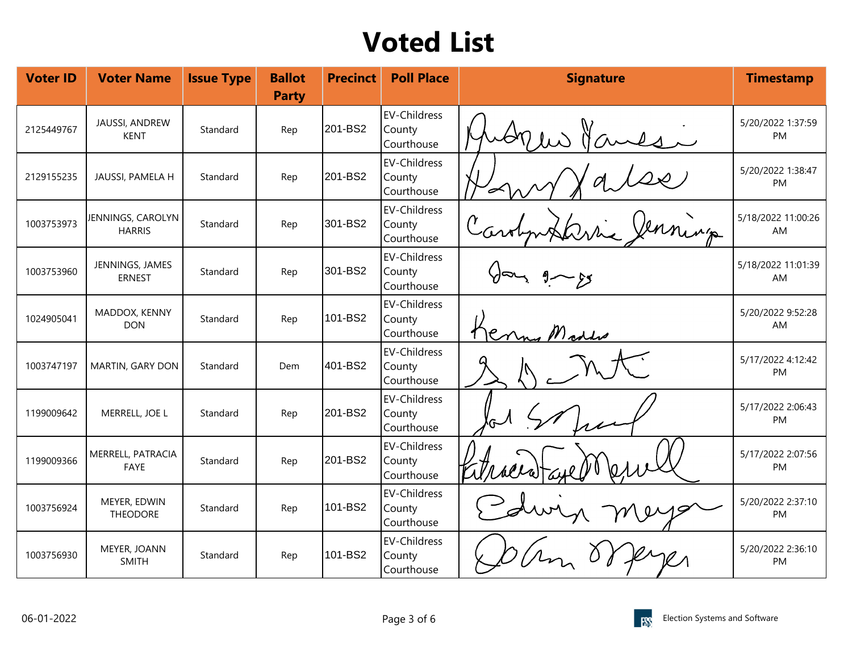| <b>Voter ID</b> | <b>Voter Name</b>                  | <b>Issue Type</b> | <b>Ballot</b><br><b>Party</b> | <b>Precinct</b> | <b>Poll Place</b>                           | <b>Signature</b> | <b>Timestamp</b>         |
|-----------------|------------------------------------|-------------------|-------------------------------|-----------------|---------------------------------------------|------------------|--------------------------|
| 2125449767      | JAUSSI, ANDREW<br><b>KENT</b>      | Standard          | Rep                           | 201-BS2         | EV-Childress<br>County<br>Courthouse        |                  | 5/20/2022 1:37:59<br>PM  |
| 2129155235      | JAUSSI, PAMELA H                   | Standard          | Rep                           | 201-BS2         | EV-Childress<br>County<br>Courthouse        |                  | 5/20/2022 1:38:47<br>PM  |
| 1003753973      | JENNINGS, CAROLYN<br><b>HARRIS</b> | Standard          | Rep                           | 301-BS2         | EV-Childress<br>County<br>Courthouse        |                  | 5/18/2022 11:00:26<br>AM |
| 1003753960      | JENNINGS, JAMES<br><b>ERNEST</b>   | Standard          | Rep                           | 301-BS2         | EV-Childress<br>County<br>Courthouse        |                  | 5/18/2022 11:01:39<br>AM |
| 1024905041      | MADDOX, KENNY<br><b>DON</b>        | Standard          | Rep                           | 101-BS2         | EV-Childress<br>County<br>Courthouse        |                  | 5/20/2022 9:52:28<br>AM  |
| 1003747197      | MARTIN, GARY DON                   | Standard          | Dem                           | 401-BS2         | <b>EV-Childress</b><br>County<br>Courthouse |                  | 5/17/2022 4:12:42<br>PM  |
| 1199009642      | MERRELL, JOE L                     | Standard          | Rep                           | 201-BS2         | EV-Childress<br>County<br>Courthouse        |                  | 5/17/2022 2:06:43<br>PM  |
| 1199009366      | MERRELL, PATRACIA<br>FAYE          | Standard          | Rep                           | 201-BS2         | <b>EV-Childress</b><br>County<br>Courthouse |                  | 5/17/2022 2:07:56<br>PM  |
| 1003756924      | MEYER, EDWIN<br><b>THEODORE</b>    | Standard          | Rep                           | 101-BS2         | <b>EV-Childress</b><br>County<br>Courthouse |                  | 5/20/2022 2:37:10<br>PM  |
| 1003756930      | MEYER, JOANN<br><b>SMITH</b>       | Standard          | Rep                           | 101-BS2         | <b>EV-Childress</b><br>County<br>Courthouse |                  | 5/20/2022 2:36:10<br>PM  |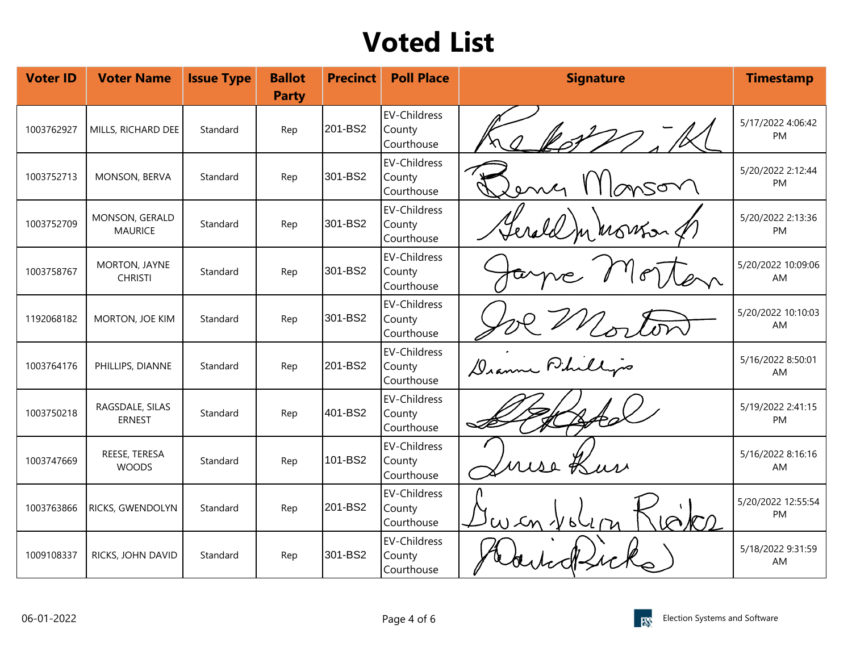| <b>Voter ID</b> | <b>Voter Name</b>                | <b>Issue Type</b> | <b>Ballot</b><br><b>Party</b> | <b>Precinct</b> | <b>Poll Place</b>                           | <b>Signature</b> | <b>Timestamp</b>         |
|-----------------|----------------------------------|-------------------|-------------------------------|-----------------|---------------------------------------------|------------------|--------------------------|
| 1003762927      | MILLS, RICHARD DEE               | Standard          | Rep                           | 201-BS2         | <b>EV-Childress</b><br>County<br>Courthouse | $\sim$           | 5/17/2022 4:06:42<br>PM  |
| 1003752713      | MONSON, BERVA                    | Standard          | Rep                           | 301-BS2         | <b>EV-Childress</b><br>County<br>Courthouse | msor             | 5/20/2022 2:12:44<br>PM  |
| 1003752709      | MONSON, GERALD<br><b>MAURICE</b> | Standard          | Rep                           | 301-BS2         | EV-Childress<br>County<br>Courthouse        | Gerald minorson  | 5/20/2022 2:13:36<br>PM  |
| 1003758767      | MORTON, JAYNE<br><b>CHRISTI</b>  | Standard          | Rep                           | 301-BS2         | <b>EV-Childress</b><br>County<br>Courthouse |                  | 5/20/2022 10:09:06<br>AM |
| 1192068182      | MORTON, JOE KIM                  | Standard          | Rep                           | 301-BS2         | <b>EV-Childress</b><br>County<br>Courthouse |                  | 5/20/2022 10:10:03<br>AM |
| 1003764176      | PHILLIPS, DIANNE                 | Standard          | Rep                           | 201-BS2         | <b>EV-Childress</b><br>County<br>Courthouse | Dramme Phillips  | 5/16/2022 8:50:01<br>AM  |
| 1003750218      | RAGSDALE, SILAS<br><b>ERNEST</b> | Standard          | Rep                           | 401-BS2         | <b>EV-Childress</b><br>County<br>Courthouse |                  | 5/19/2022 2:41:15<br>PM  |
| 1003747669      | REESE, TERESA<br><b>WOODS</b>    | Standard          | Rep                           | 101-BS2         | EV-Childress<br>County<br>Courthouse        | use Kur          | 5/16/2022 8:16:16<br>AM  |
| 1003763866      | RICKS, GWENDOLYN                 | Standard          | Rep                           | 201-BS2         | <b>EV-Childress</b><br>County<br>Courthouse | $P_1$            | 5/20/2022 12:55:54<br>PM |
| 1009108337      | RICKS, JOHN DAVID                | Standard          | Rep                           | 301-BS2         | <b>EV-Childress</b><br>County<br>Courthouse |                  | 5/18/2022 9:31:59<br>AM  |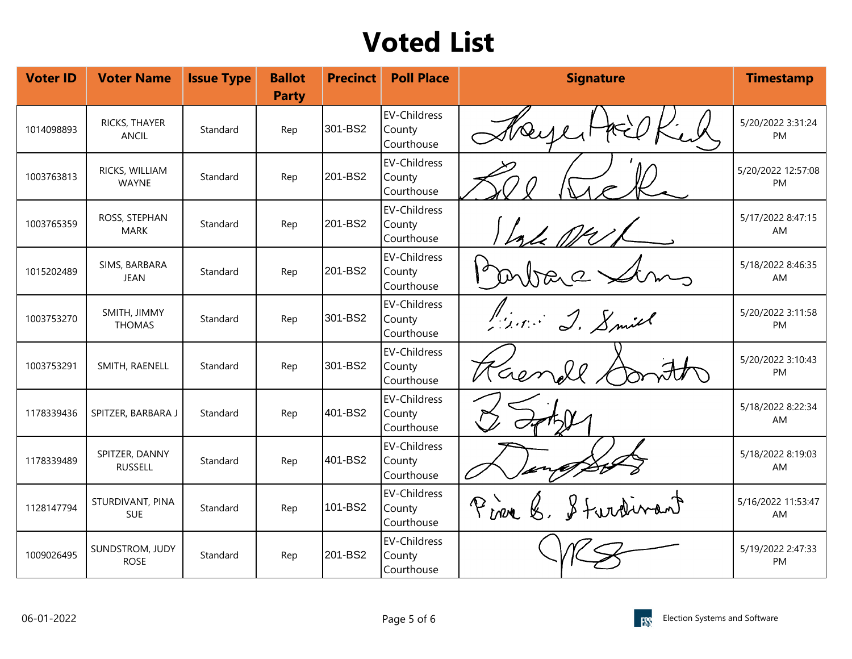| <b>Voter ID</b> | <b>Voter Name</b>                | <b>Issue Type</b> | <b>Ballot</b><br><b>Party</b> | <b>Precinct</b> | <b>Poll Place</b>                           | <b>Signature</b>  | <b>Timestamp</b>                |
|-----------------|----------------------------------|-------------------|-------------------------------|-----------------|---------------------------------------------|-------------------|---------------------------------|
| 1014098893      | RICKS, THAYER<br><b>ANCIL</b>    | Standard          | Rep                           | 301-BS2         | EV-Childress<br>County<br>Courthouse        | $\infty$          | 5/20/2022 3:31:24<br>PM         |
| 1003763813      | RICKS, WILLIAM<br><b>WAYNE</b>   | Standard          | Rep                           | 201-BS2         | <b>EV-Childress</b><br>County<br>Courthouse |                   | 5/20/2022 12:57:08<br><b>PM</b> |
| 1003765359      | ROSS, STEPHAN<br><b>MARK</b>     | Standard          | Rep                           | 201-BS2         | EV-Childress<br>County<br>Courthouse        |                   | 5/17/2022 8:47:15<br>AM         |
| 1015202489      | SIMS, BARBARA<br><b>JEAN</b>     | Standard          | Rep                           | 201-BS2         | EV-Childress<br>County<br>Courthouse        | RQ                | 5/18/2022 8:46:35<br>AM         |
| 1003753270      | SMITH, JIMMY<br><b>THOMAS</b>    | Standard          | Rep                           | 301-BS2         | <b>EV-Childress</b><br>County<br>Courthouse | Prince J. Smith   | 5/20/2022 3:11:58<br>PM         |
| 1003753291      | SMITH, RAENELL                   | Standard          | Rep                           | 301-BS2         | <b>EV-Childress</b><br>County<br>Courthouse | Kaen<br>oll       | 5/20/2022 3:10:43<br>PM         |
| 1178339436      | SPITZER, BARBARA J               | Standard          | Rep                           | 401-BS2         | <b>EV-Childress</b><br>County<br>Courthouse |                   | 5/18/2022 8:22:34<br>AM         |
| 1178339489      | SPITZER, DANNY<br><b>RUSSELL</b> | Standard          | Rep                           | 401-BS2         | <b>EV-Childress</b><br>County<br>Courthouse |                   | 5/18/2022 8:19:03<br>AM         |
| 1128147794      | STURDIVANT, PINA<br><b>SUE</b>   | Standard          | Rep                           | 101-BS2         | <b>EV-Childress</b><br>County<br>Courthouse | Pine & Stardinant | 5/16/2022 11:53:47<br>AM        |
| 1009026495      | SUNDSTROM, JUDY<br><b>ROSE</b>   | Standard          | Rep                           | 201-BS2         | <b>EV-Childress</b><br>County<br>Courthouse |                   | 5/19/2022 2:47:33<br>PM         |